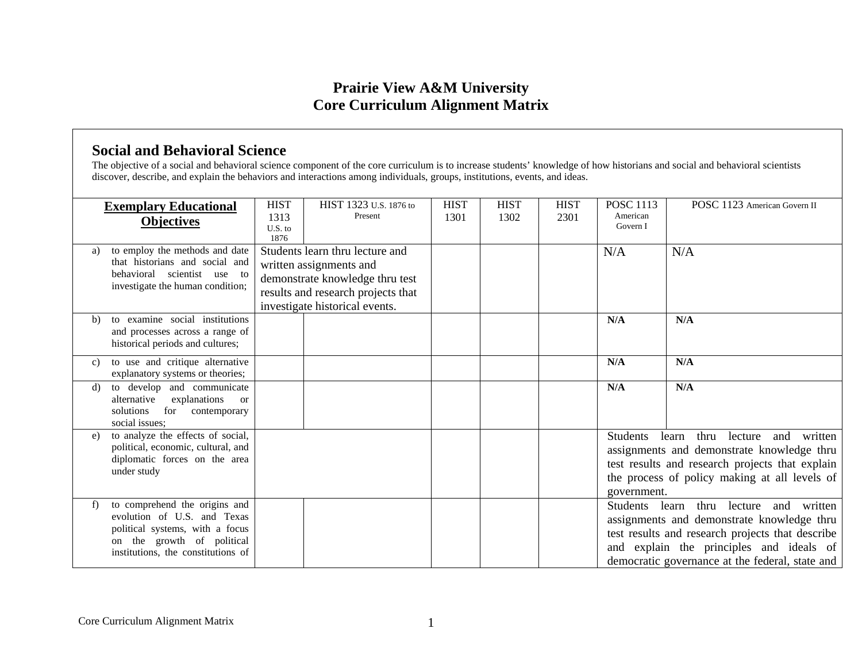## **Prairie View A&M University Core Curriculum Alignment Matrix**

## **Social and Behavioral Science**

The objective of a social and behavioral science component of the core curriculum is to increase students' knowledge of how historians and social and behavioral scientists discover, describe, and explain the behaviors and interactions among individuals, groups, institutions, events, and ideas.

| <b>Exemplary Educational</b> |                                                                                                                                                                     | <b>HIST</b>             | HIST 1323 U.S. 1876 to                                                                                                                                                | <b>HIST</b> | <b>HIST</b> | <b>HIST</b> | <b>POSC 1113</b>                                                                                                                                                                                                               | POSC 1123 American Govern II                                                                                                                                                                                                    |
|------------------------------|---------------------------------------------------------------------------------------------------------------------------------------------------------------------|-------------------------|-----------------------------------------------------------------------------------------------------------------------------------------------------------------------|-------------|-------------|-------------|--------------------------------------------------------------------------------------------------------------------------------------------------------------------------------------------------------------------------------|---------------------------------------------------------------------------------------------------------------------------------------------------------------------------------------------------------------------------------|
|                              | <b>Objectives</b>                                                                                                                                                   | 1313<br>U.S. to<br>1876 | Present                                                                                                                                                               | 1301        | 1302        | 2301        | American<br>Govern I                                                                                                                                                                                                           |                                                                                                                                                                                                                                 |
| a)                           | to employ the methods and date<br>that historians and social and<br>behavioral scientist use to<br>investigate the human condition;                                 |                         | Students learn thru lecture and<br>written assignments and<br>demonstrate knowledge thru test<br>results and research projects that<br>investigate historical events. |             |             |             | N/A                                                                                                                                                                                                                            | N/A                                                                                                                                                                                                                             |
| b)                           | to examine social institutions<br>and processes across a range of<br>historical periods and cultures;                                                               |                         |                                                                                                                                                                       |             |             |             | N/A                                                                                                                                                                                                                            | N/A                                                                                                                                                                                                                             |
| C)                           | to use and critique alternative<br>explanatory systems or theories;                                                                                                 |                         |                                                                                                                                                                       |             |             |             | N/A                                                                                                                                                                                                                            | N/A                                                                                                                                                                                                                             |
| d)                           | to develop and communicate<br>alternative<br>explanations<br><sub>or</sub><br>solutions<br>for<br>contemporary<br>social issues;                                    |                         |                                                                                                                                                                       |             |             |             | N/A                                                                                                                                                                                                                            | N/A                                                                                                                                                                                                                             |
| e)                           | to analyze the effects of social,<br>political, economic, cultural, and<br>diplomatic forces on the area<br>under study                                             |                         |                                                                                                                                                                       |             |             |             | <b>Students</b><br>thru<br>written<br>learn<br>lecture<br>and<br>assignments and demonstrate knowledge thru<br>test results and research projects that explain<br>the process of policy making at all levels of<br>government. |                                                                                                                                                                                                                                 |
| f)                           | to comprehend the origins and<br>evolution of U.S. and Texas<br>political systems, with a focus<br>on the growth of political<br>institutions, the constitutions of |                         |                                                                                                                                                                       |             |             |             | Students learn                                                                                                                                                                                                                 | and written<br>thru<br>lecture<br>assignments and demonstrate knowledge thru<br>test results and research projects that describe<br>and explain the principles and ideals of<br>democratic governance at the federal, state and |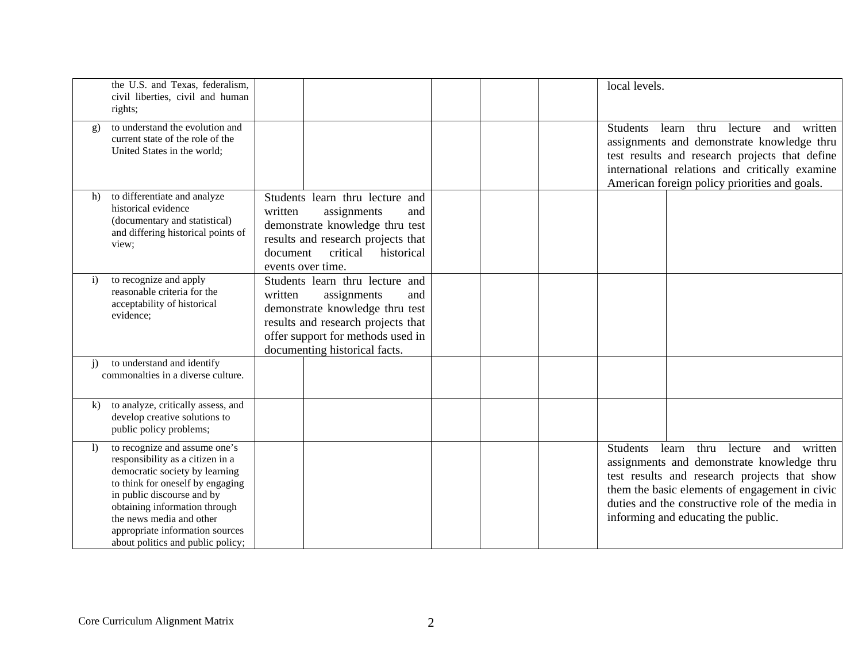|              | the U.S. and Texas, federalism,<br>civil liberties, civil and human<br>rights;                                                                                                                                                                                                                             |                                                                                                                                                                                                                 | local levels.                                                                                                                                                                                                                                                                                |  |
|--------------|------------------------------------------------------------------------------------------------------------------------------------------------------------------------------------------------------------------------------------------------------------------------------------------------------------|-----------------------------------------------------------------------------------------------------------------------------------------------------------------------------------------------------------------|----------------------------------------------------------------------------------------------------------------------------------------------------------------------------------------------------------------------------------------------------------------------------------------------|--|
| g)           | to understand the evolution and<br>current state of the role of the<br>United States in the world;                                                                                                                                                                                                         |                                                                                                                                                                                                                 | <b>Students</b><br>thru<br>lecture<br>written<br>learn<br>and<br>assignments and demonstrate knowledge thru<br>test results and research projects that define<br>international relations and critically examine<br>American foreign policy priorities and goals.                             |  |
| h)           | to differentiate and analyze<br>historical evidence<br>(documentary and statistical)<br>and differing historical points of<br>view;                                                                                                                                                                        | Students learn thru lecture and<br>written<br>assignments<br>and<br>demonstrate knowledge thru test<br>results and research projects that<br>historical<br>document<br>critical<br>events over time.            |                                                                                                                                                                                                                                                                                              |  |
| $\mathbf{i}$ | to recognize and apply<br>reasonable criteria for the<br>acceptability of historical<br>evidence;                                                                                                                                                                                                          | Students learn thru lecture and<br>written<br>assignments<br>and<br>demonstrate knowledge thru test<br>results and research projects that<br>offer support for methods used in<br>documenting historical facts. |                                                                                                                                                                                                                                                                                              |  |
| $\mathbf{i}$ | to understand and identify<br>commonalties in a diverse culture.                                                                                                                                                                                                                                           |                                                                                                                                                                                                                 |                                                                                                                                                                                                                                                                                              |  |
| $\bf{k}$     | to analyze, critically assess, and<br>develop creative solutions to<br>public policy problems;                                                                                                                                                                                                             |                                                                                                                                                                                                                 |                                                                                                                                                                                                                                                                                              |  |
| $\vert$      | to recognize and assume one's<br>responsibility as a citizen in a<br>democratic society by learning<br>to think for oneself by engaging<br>in public discourse and by<br>obtaining information through<br>the news media and other<br>appropriate information sources<br>about politics and public policy; |                                                                                                                                                                                                                 | learn thru lecture and written<br><b>Students</b><br>assignments and demonstrate knowledge thru<br>test results and research projects that show<br>them the basic elements of engagement in civic<br>duties and the constructive role of the media in<br>informing and educating the public. |  |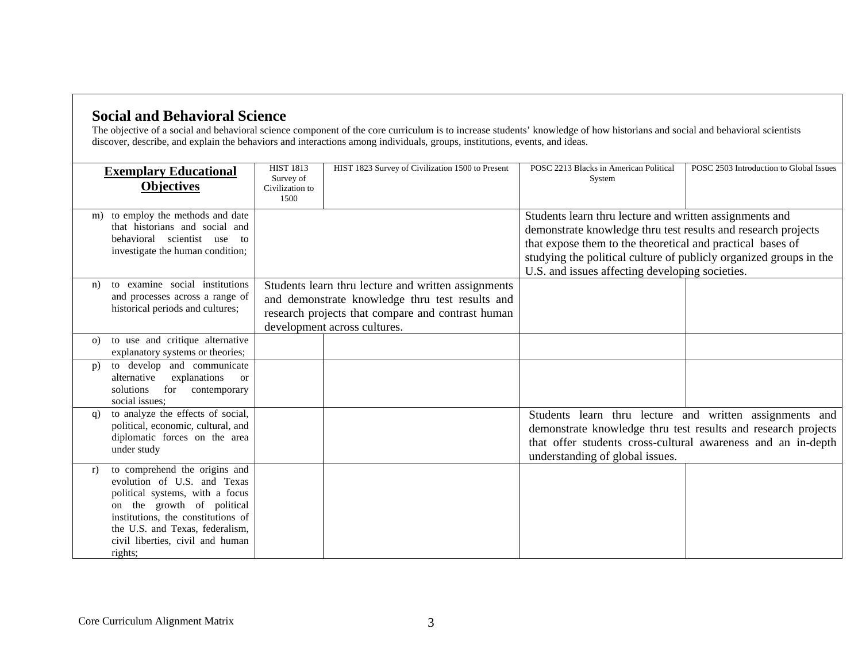## **Social and Behavioral Science**

The objective of a social and behavioral science component of the core curriculum is to increase students' knowledge of how historians and social and behavioral scientists discover, describe, and explain the behaviors and interactions among individuals, groups, institutions, events, and ideas.

|          | <b>Exemplary Educational</b><br><b>Objectives</b>                                                                                                                                                                                                     | <b>HIST 1813</b><br>Survey of<br>Civilization to | HIST 1823 Survey of Civilization 1500 to Present                                                                                                                                            | POSC 2213 Blacks in American Political<br>System                                                                                                                                                                                                                                                                | POSC 2503 Introduction to Global Issues                                                                                 |
|----------|-------------------------------------------------------------------------------------------------------------------------------------------------------------------------------------------------------------------------------------------------------|--------------------------------------------------|---------------------------------------------------------------------------------------------------------------------------------------------------------------------------------------------|-----------------------------------------------------------------------------------------------------------------------------------------------------------------------------------------------------------------------------------------------------------------------------------------------------------------|-------------------------------------------------------------------------------------------------------------------------|
|          |                                                                                                                                                                                                                                                       | 1500                                             |                                                                                                                                                                                             |                                                                                                                                                                                                                                                                                                                 |                                                                                                                         |
| m)       | to employ the methods and date<br>that historians and social and<br>behavioral scientist use to<br>investigate the human condition;                                                                                                                   |                                                  |                                                                                                                                                                                             | Students learn thru lecture and written assignments and<br>demonstrate knowledge thru test results and research projects<br>that expose them to the theoretical and practical bases of<br>studying the political culture of publicly organized groups in the<br>U.S. and issues affecting developing societies. |                                                                                                                         |
| n)       | to examine social institutions<br>and processes across a range of<br>historical periods and cultures;                                                                                                                                                 |                                                  | Students learn thru lecture and written assignments<br>and demonstrate knowledge thru test results and<br>research projects that compare and contrast human<br>development across cultures. |                                                                                                                                                                                                                                                                                                                 |                                                                                                                         |
| $\Omega$ | to use and critique alternative<br>explanatory systems or theories;                                                                                                                                                                                   |                                                  |                                                                                                                                                                                             |                                                                                                                                                                                                                                                                                                                 |                                                                                                                         |
| p)       | to develop and communicate<br>alternative<br>explanations<br><sub>or</sub><br>for<br>solutions<br>contemporary<br>social issues:                                                                                                                      |                                                  |                                                                                                                                                                                             |                                                                                                                                                                                                                                                                                                                 |                                                                                                                         |
| q)       | to analyze the effects of social,<br>political, economic, cultural, and<br>diplomatic forces on the area<br>under study                                                                                                                               |                                                  |                                                                                                                                                                                             | demonstrate knowledge thru test results and research projects<br>understanding of global issues.                                                                                                                                                                                                                | Students learn thru lecture and written assignments and<br>that offer students cross-cultural awareness and an in-depth |
| r)       | to comprehend the origins and<br>evolution of U.S. and Texas<br>political systems, with a focus<br>on the growth of political<br>institutions, the constitutions of<br>the U.S. and Texas, federalism,<br>civil liberties, civil and human<br>rights; |                                                  |                                                                                                                                                                                             |                                                                                                                                                                                                                                                                                                                 |                                                                                                                         |